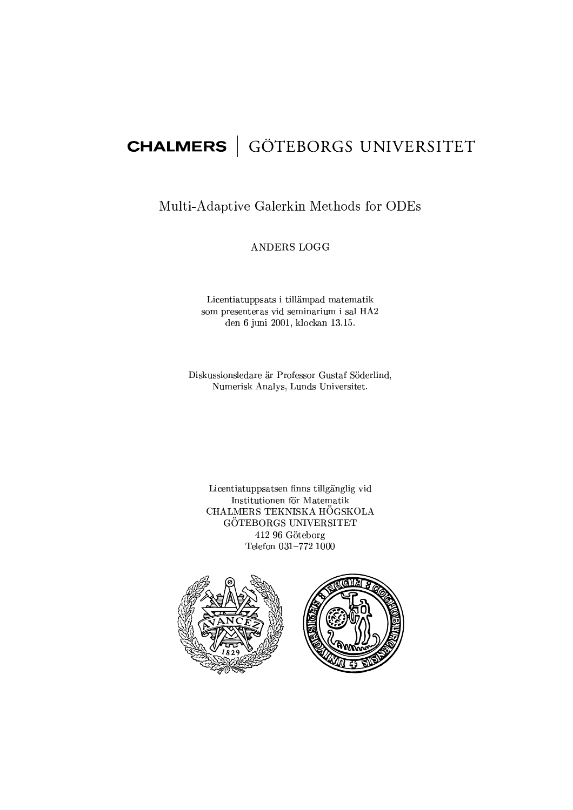# CHALMERS | GÖTEBORGS UNIVERSITET

- 
 "!#\$%'&( 
)+\*,(.-/01)

ANDERS LOGG

Licentiatuppsats i tillämpad matematik som presenteras vid seminarium i sal HA2 den 6 juni 2001, klockan 13.15.

Diskussionsledare är Professor Gustaf Söderlind, Numerisk Analys, Lunds Universitet.

Licentiatuppsatsen finns tillgänglig vid  $\blacksquare$  and  $\blacksquare$  and  $\blacksquare$ CHALMERS TEKNISKA HÖGSKOLA  $\alpha$   $\ddot{\alpha}$  m  $\ddot{\alpha}$  n  $\alpha$  is the state  $\alpha$  support  $\ddot{\alpha}$ 412 96 Göteborg Telefon 031-772  $1000$ 

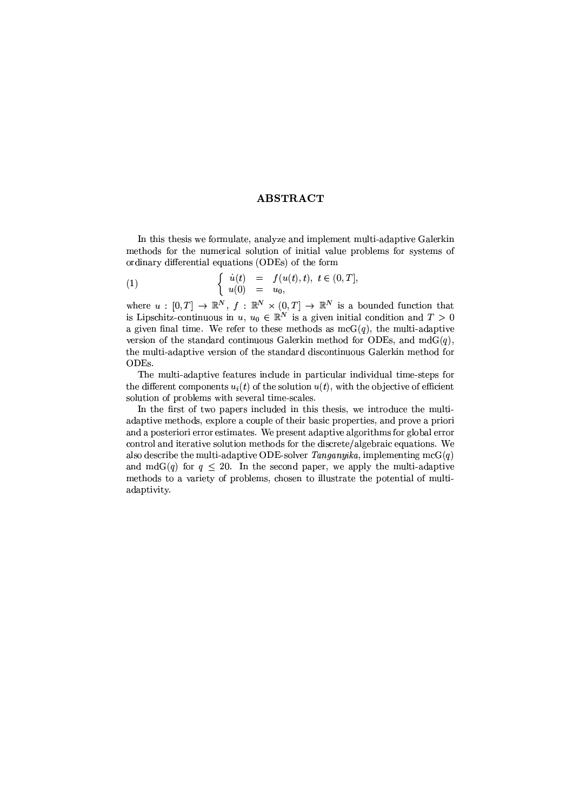#### **ABSTRACT**

In this thesis we formulate, analyze and implement multi-adaptive Galerkin methods for the numerical solution of initial value problems for systems of ordinary differential equations (ODEs) of the form

(1) 
$$
\begin{cases} \dot{u}(t) = f(u(t), t), \ t \in (0, T], \\ u(0) = u_0, \end{cases}
$$

where  $u : [0, T] \to \mathbb{R}^N$ ,  $f : \mathbb{R}^N \times (0, T] \to \mathbb{R}^N$  is a bounded function that is Lipschitz-continuous in  $u, u_0 \in \mathbb{R}^N$  is a given initial condition and  $T > 0$ a given final time. We refer to these methods as  $mcG(q)$ , the multi-adaptive version of the standard continuous Galerkin method for ODEs, and  $mdG(q)$ , the multi-adaptive version of the standard discontinuous Galerkin method for ODEs.

The multi-adaptive features include in particular individual time-steps for the different components  $u_i(t)$  of the solution  $u(t)$ , with the objective of efficient solution of problems with several time-scales.

In the first of two papers included in this thesis, we introduce the multiadaptive methods, explore a couple of their basic properties, and prove a priori and a posteriori error estimates. We present adaptive algorithms for global error control and iterative solution methods for the discrete/algebraic equations. We also describe the multi-adaptive ODE-solver Tanganyika, implementing  $mcG(q)$ and  $m dG(q)$  for  $q \leq 20$ . In the second paper, we apply the multi-adaptive methods to a variety of problems, chosen to illustrate the potential of multiadaptivity.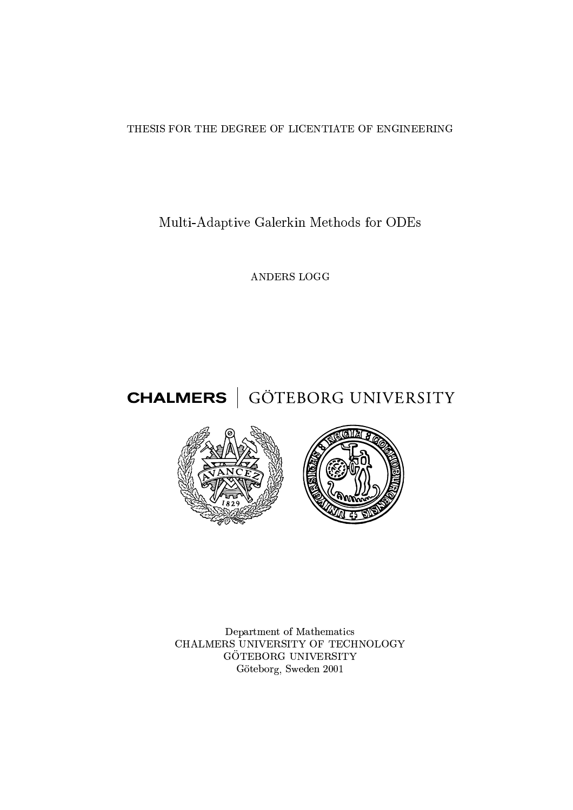### THESIS FOR THE DEGREE OF LICENTIATE OF ENGINEERING

Multi-Adaptive Galerkin Methods for ODEs

ANDERS LOGG

## **CHALMERS** GÖTEBORG UNIVERSITY



Department of Mathematics CHALMERS UNIVERSITY OF TECHNOLOGY GÖTEBORG UNIVERSITY Göteborg, Sweden 2001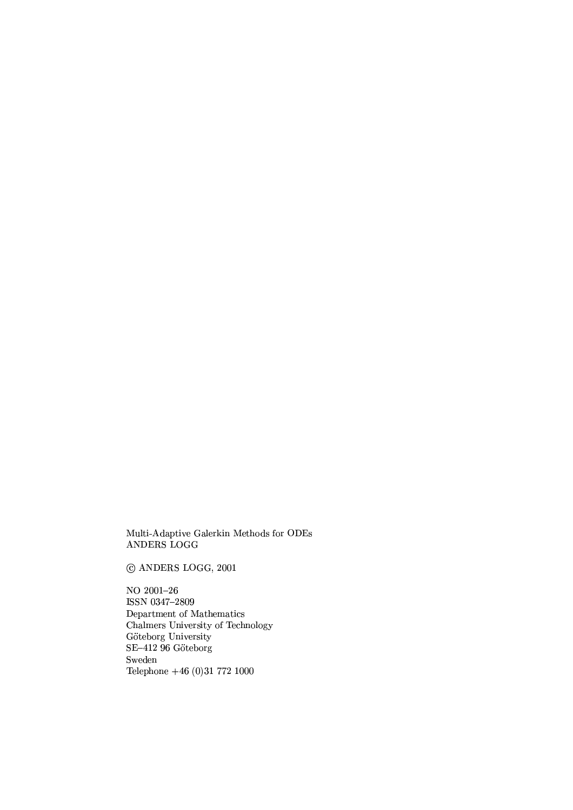Multi-Adaptive Galerkin Methods for ODEs ANDERS LOGG

© ANDERS LOGG, 2001

NO 2001-26 ISSN 0347-2809 Department of Mathematics Chalmers University of Technology Göteborg University<br>SE-412 96 Göteborg Sweden Telephone  $+46(0)317721000$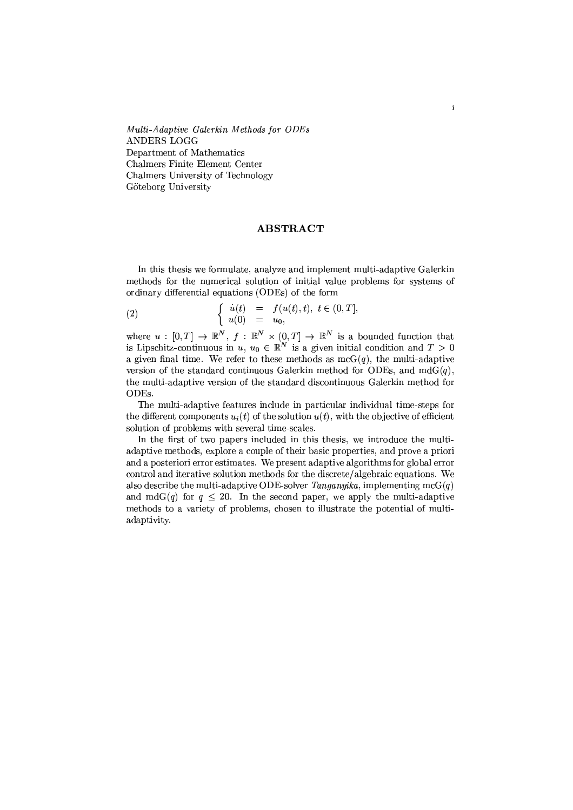Multi-Adaptive Galerkin Methods for ODEs ANDERS LOGG Department of Mathematics Chalmers Finite Element Center Chalmers University of Technology Göteborg University

#### **ABSTRACT**

 $\mathbf{i}$ 

In this thesis we formulate, analyze and implement multi-adaptive Galerkin methods for the numerical solution of initial value problems for systems of ordinary differential equations (ODEs) of the form

(2) 
$$
\begin{cases} \dot{u}(t) = f(u(t), t), \ t \in (0, T], \\ u(0) = u_0, \end{cases}
$$

where  $u : [0, T] \to \mathbb{R}^N$ ,  $f : \mathbb{R}^N \times (0, T] \to \mathbb{R}^N$  is a bounded function that is Lipschitz-continuous in  $u, u_0 \in \mathbb{R}^N$  is a given initial condition and  $T > 0$ a given final time. We refer to these methods as  $mcG(q)$ , the multi-adaptive version of the standard continuous Galerkin method for ODEs, and  $mdG(q)$ , the multi-adaptive version of the standard discontinuous Galerkin method for ODEs.

The multi-adaptive features include in particular individual time-steps for the different components  $u_i(t)$  of the solution  $u(t)$ , with the objective of efficient solution of problems with several time-scales.

In the first of two papers included in this thesis, we introduce the multiadaptive methods, explore a couple of their basic properties, and prove a priori and a posteriori error estimates. We present adaptive algorithms for global error control and iterative solution methods for the discrete/algebraic equations. We also describe the multi-adaptive ODE-solver *Tanganyika*, implementing  $mcG(q)$ and mdG(q) for  $q \leq 20$ . In the second paper, we apply the multi-adaptive methods to a variety of problems, chosen to illustrate the potential of multiadaptivity.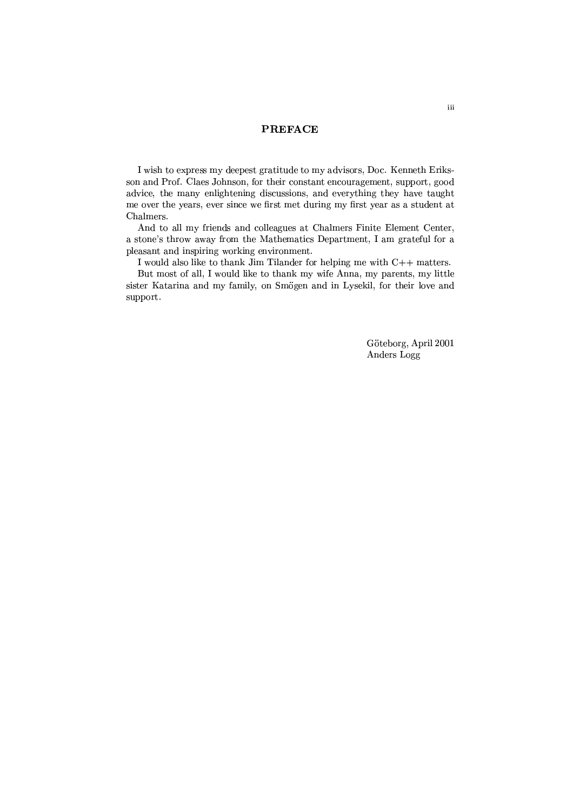#### -Z-

I wish to express my deepest gratitude to my advisors, Doc. Kenneth Eriksson and Prof. Claes Johnson, for their constant encouragement, support, good advice, the many enlightening discussions, and everything they have taught me over the years, ever since we first met during my first year as a student at Chalmers.

And to all my friends and colleagues at Chalmers Finite Element Center, a stone's throw away from the Mathematics Department, I am grateful for a pleasant and inspiring working environment.

I would also like to thank Jim Tilander for helping me with  $C++$  matters.

But most of all, I would like to thank my wife Anna, my parents, my little sister Katarina and my family, on Smögen and in Lysekil, for their love and support.

> Göteborg, April 2001 Anders Logg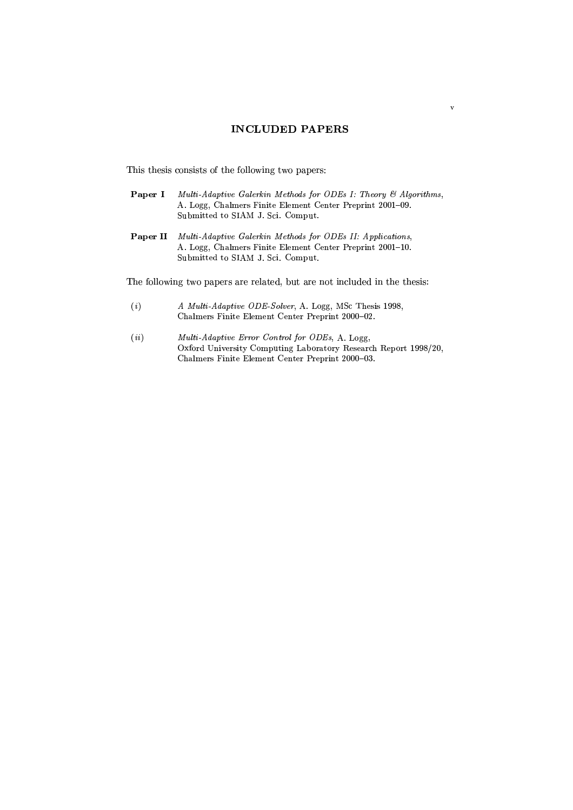#### - J

 $\mathbf{v}$ 

 $\text{This is a linear combination of the following functions:}$ 

- Paper I  $Multi-Adaptive Galerkin Methods for ODEs I: Theoru 63 Algorithms$  $\mathbb{R}$  . At the contract of the contract  $\mathbb{R}$  and  $\mathbb{R}$ tu7v\^cwg0ga]8x>g <sup>T</sup> tyP{z}|7Q t~c <sup>Q</sup> <sup>V</sup>T\^mug <sup>Q</sup>
- **Paper II** Multi-Adaptive Galerkin Methods for ODEs II: Applications.  $\mathbb{R}$  . At the contract of the contract  $\mathbb{R}$  and  $\mathbb{R}$  $\mathbf{r}\cdot\mathbf{r}=\mathbf{r}\cdot\mathbf{r}$  to  $\mathbf{r}\cdot\mathbf{r}=\mathbf{r}\cdot\mathbf{r}$

 $\pi$ ka following two popone and noloted that and not included in the theorem.

- $\cdots$ A Multi-Adaptive ODE-Solver, A. Logg, MSc Thesis 1998, VFXZY1[-\^]%\_a`Kbdcfe7cfga]ih[f]<\^]<egKVF]<ega]j\_Kkl\_a]<m7\_acfegKn(p(p,prp#n <sup>Q</sup>
- $\cdots$  $Multi: Adaptive Error Control for ODEs$ , A. Logg, KT\_Mx\*oe7c-,]j\_a`0cwgVT\^mugacfeUSYv T\_MY1g T\_0 ]<`0]8Y1\_~X
]<m T\_0gRq<s,s(#,n1pO Chalmers Finite Element Center Preprint 2000-03.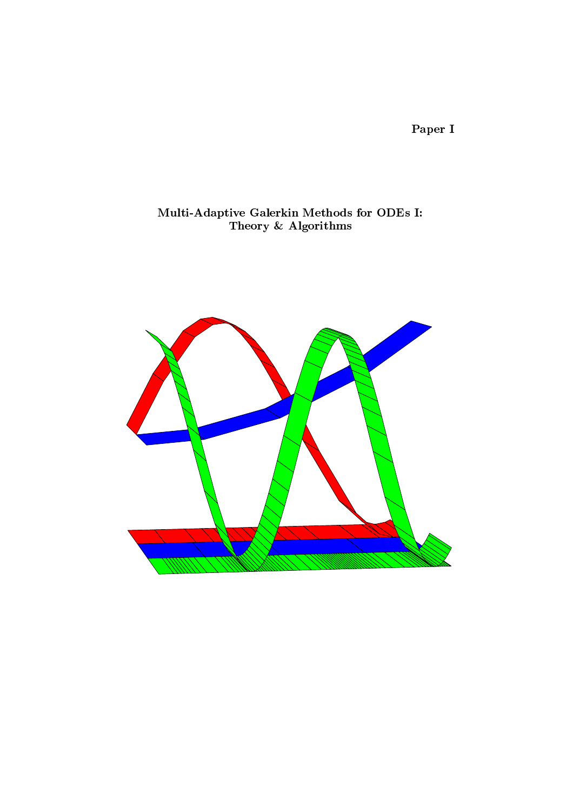Paper I

## Multi-Adaptive Galerkin Methods for ODEs I: Theory & Algorithms